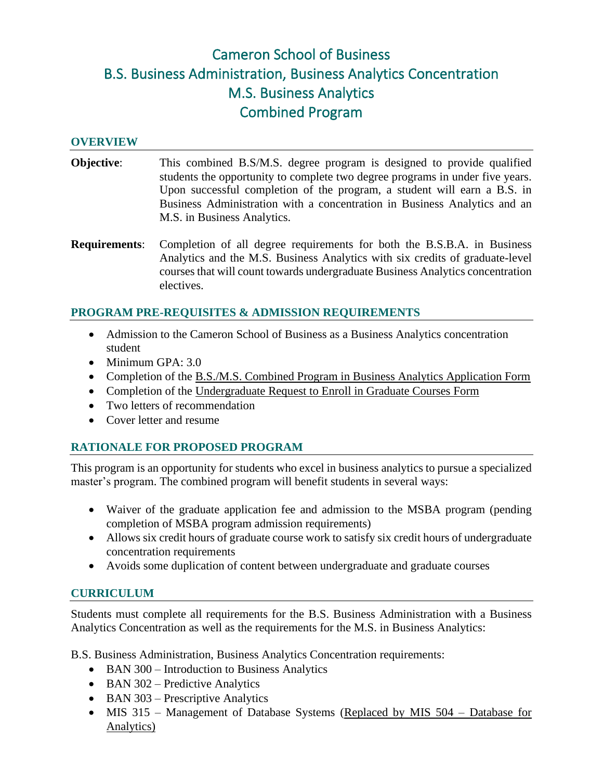# Cameron School of Business B.S. Business Administration, Business Analytics Concentration M.S. Business Analytics Combined Program

#### **OVERVIEW**

- **Objective:** This combined B.S/M.S. degree program is designed to provide qualified students the opportunity to complete two degree programs in under five years. Upon successful completion of the program, a student will earn a B.S. in Business Administration with a concentration in Business Analytics and an M.S. in Business Analytics.
- **Requirements**: Completion of all degree requirements for both the B.S.B.A. in Business Analytics and the M.S. Business Analytics with six credits of graduate-level courses that will count towards undergraduate Business Analytics concentration electives.

#### **PROGRAM PRE-REQUISITES & ADMISSION REQUIREMENTS**

- Admission to the Cameron School of Business as a Business Analytics concentration student
- Minimum GPA: 3.0
- Completion of the B.S./M.S. Combined Program in Business Analytics Application Form
- Completion of the Undergraduate Request to Enroll in Graduate Courses Form
- Two letters of recommendation
- Cover letter and resume

#### **RATIONALE FOR PROPOSED PROGRAM**

This program is an opportunity for students who excel in business analytics to pursue a specialized master's program. The combined program will benefit students in several ways:

- Waiver of the graduate application fee and admission to the MSBA program (pending completion of MSBA program admission requirements)
- Allows six credit hours of graduate course work to satisfy six credit hours of undergraduate concentration requirements
- Avoids some duplication of content between undergraduate and graduate courses

#### **CURRICULUM**

Students must complete all requirements for the B.S. Business Administration with a Business Analytics Concentration as well as the requirements for the M.S. in Business Analytics:

B.S. Business Administration, Business Analytics Concentration requirements:

- BAN 300 Introduction to Business Analytics
- BAN 302 Predictive Analytics
- BAN 303 Prescriptive Analytics
- MIS 315 Management of Database Systems (Replaced by MIS 504 Database for Analytics)